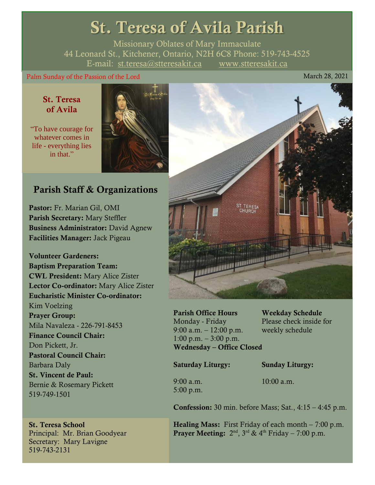# St. Teresa of Avila Parish

Missionary Oblates of Mary Immaculate 44 Leonard St., Kitchener, Ontario, N2H 6C8 Phone: 519-743-4525 E-mail: [st.teresa@stteresakit.ca](mailto:st.teresa@stteresakit.ca) [www.stteresakit.ca](http://www.stteresakit.ca/)

### Palm Sunday of the Passion of the Lord March 28, 2021

# St. Teresa of Avila

"To have courage for whatever comes in life - everything lies in that"



# Parish Staff & Organizations

Pastor: Fr. Marian Gil, OMI Parish Secretary: Mary Steffler Business Administrator: David Agnew Facilities Manager: Jack Pigeau

Volunteer Gardeners: Baptism Preparation Team: CWL President: Mary Alice Zister Lector Co-ordinator: Mary Alice Zister Eucharistic Minister Co-ordinator: Kim Voelzing Prayer Group: Mila Navaleza - 226-791-8453 Finance Council Chair: Don Pickett, Jr. Pastoral Council Chair: Barbara Daly St. Vincent de Paul: Bernie & Rosemary Pickett 519-749-1501

St. Teresa School Principal: Mr. Brian Goodyear Secretary: Mary Lavigne 519-743-2131



Parish Office Hours Weekday Schedule Monday - Friday Please check inside for 9:00 a.m. – 12:00 p.m. weekly schedule  $1:00 \text{ p.m.} - 3:00 \text{ p.m.}$ Wednesday – Office Closed

Saturday Liturgy: Sunday Liturgy:

5:00 p.m.

9:00 a.m. 10:00 a.m.

**Confession:** 30 min. before Mass; Sat.,  $4:15 - 4:45$  p.m.

**Healing Mass:** First Friday of each month  $-7:00$  p.m. **Prayer Meeting:**  $2^{nd}$ ,  $3^{rd}$  &  $4^{th}$  Friday – 7:00 p.m.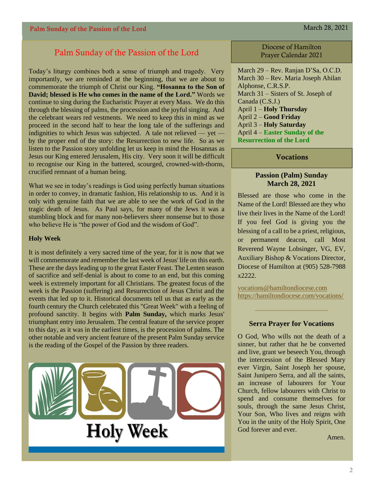## Palm Sunday of the Passion of the Lord

Today's liturgy combines both a sense of triumph and tragedy. Very importantly, we are reminded at the beginning, that we are about to commemorate the triumph of Christ our King. **"Hosanna to the Son of David; blessed is He who comes in the name of the Lord."** Words we continue to sing during the Eucharistic Prayer at every Mass. We do this through the blessing of palms, the procession and the joyful singing. And the celebrant wears red vestments. We need to keep this in mind as we proceed in the second half to hear the long tale of the sufferings and indignities to which Jesus was subjected. A tale not relieved — yet by the proper end of the story: the Resurrection to new life. So as we listen to the Passion story unfolding let us keep in mind the Hosannas as Jesus our King entered Jerusalem, His city. Very soon it will be difficult to recognise our King in the battered, scourged, crowned-with-thorns, crucified remnant of a human being.

What we see in today's readings is God using perfectly human situations in order to convey, in dramatic fashion, His relationship to us. And it is only with genuine faith that we are able to see the work of God in the tragic death of Jesus. As Paul says, for many of the Jews it was a stumbling block and for many non-believers sheer nonsense but to those who believe He is "the power of God and the wisdom of God".

### **Holy Week**

It is most definitely a very sacred time of the year, for it is now that we will commemorate and remember the last week of Jesus' life on this earth. These are the days leading up to the great Easter Feast. The Lenten season of sacrifice and self-denial is about to come to an end, but this coming week is extremely important for all Christians. The greatest focus of the week is the Passion (suffering) and Resurrection of Jesus Christ and the events that led up to it. Historical documents tell us that as early as the fourth century the Church celebrated this "Great Week" with a feeling of profound sanctity. It begins with **Palm Sunday,** which marks Jesus' triumphant entry into Jerusalem. The central feature of the service proper to this day, as it was in the earliest times, is the procession of palms. The other notable and very ancient feature of the present Palm Sunday service is the reading of the Gospel of the Passion by three readers.



Diocese of Hamilton Prayer Calendar 2021

March 29 – Rev. Ranjan D'Sa, O.C.D. March 30 – Rev. Maria Joseph Ahilan Alphonse, C.R.S.P. March 31 – Sisters of St. Joseph of Canada (C.S.J.) April 1 – **Holy Thursday** April 2 – **Good Friday** April 3 – **Holy Saturday** April 4 – **Easter Sunday of the Resurrection of the Lord**

### **Vocations**

### **Passion (Palm) Sunday March 28, 2021**

Blessed are those who come in the Name of the Lord! Blessed are they who live their lives in the Name of the Lord! If you feel God is giving you the blessing of a call to be a priest, religious, or permanent deacon, call Most Reverend Wayne Lobsinger, VG, EV, Auxiliary Bishop & Vocations Director, Diocese of Hamilton at (905) 528-7988 x2222.

[vocations@hamiltondiocese.com](mailto:vocations@hamiltondiocese.com)  <https://hamiltondiocese.com/vocations/>

### **Serra Prayer for Vocations**

O God, Who wills not the death of a sinner, but rather that he be converted and live, grant we beseech You, through the intercession of the Blessed Mary ever Virgin, Saint Joseph her spouse, Saint Junipero Serra, and all the saints, an increase of labourers for Your Church, fellow labourers with Christ to spend and consume themselves for souls, through the same Jesus Christ, Your Son, Who lives and reigns with You in the unity of the Holy Spirit, One God forever and ever.

Amen.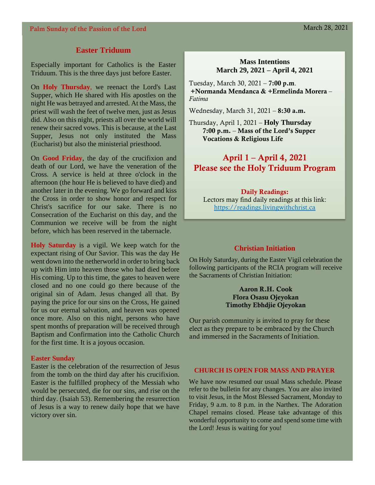### **Easter Triduum**

Especially important for Catholics is the Easter Triduum. This is the three days just before Easter.

On **Holy Thursday**, we reenact the Lord's Last Supper, which He shared with His apostles on the night He was betrayed and arrested. At the Mass, the priest will wash the feet of twelve men, just as Jesus did. Also on this night, priests all over the world will renew their sacred vows. This is because, at the Last Supper, Jesus not only instituted the Mass (Eucharist) but also the ministerial priesthood.

On **Good Friday**, the day of the crucifixion and death of our Lord, we have the veneration of the Cross. A service is held at three o'clock in the afternoon (the hour He is believed to have died) and another later in the evening. We go forward and kiss the Cross in order to show honor and respect for Christ's sacrifice for our sake. There is no Consecration of the Eucharist on this day, and the Communion we receive will be from the night before, which has been reserved in the tabernacle.

**Holy Saturday** is a vigil. We keep watch for the expectant rising of Our Savior. This was the day He went down into the netherworld in order to bring back up with Him into heaven those who had died before His coming. Up to this time, the gates to heaven were closed and no one could go there because of the original sin of Adam. Jesus changed all that. By paying the price for our sins on the Cross, He gained for us our eternal salvation, and heaven was opened once more. Also on this night, persons who have spent months of preparation will be received through Baptism and Confirmation into the Catholic Church for the first time. It is a joyous occasion.

#### **Easter Sunday**

Easter is the celebration of the resurrection of Jesus from the tomb on the third day after his crucifixion. Easter is the fulfilled prophecy of the Messiah who would be persecuted, die for our sins, and rise on the third day. (Isaiah 53). Remembering the resurrection of Jesus is a way to renew daily hope that we have victory over sin.

### **Mass Intentions March 29, 2021 – April 4, 2021**

Tuesday, March 30,  $2021 - 7:00$  p.m. +Normanda Mendanca & +Ermelinda Morera – *Fatima*

Wednesday, March 31, 2021 – 8:30 a.m.

Thursday, April 1, 2021 – **Holy Thursday** 7:00 p.m. – Mass of the Lord's Supper Vocations & Religious Life

## April 1 – April 4, 2021 Please see the Holy Triduum Program

### Daily Readings:

Lectors may find daily readings at this link: [https://readings.livingwithchrist.ca](https://readings.livingwithchrist.ca/)

### **Christian Initiation**

On Holy Saturday, during the Easter Vigil celebration the following participants of the RCIA program will receive the Sacraments of Christian Initiation:

### Aaron R.H. Cook Flora Osasu Ojeyokan Timothy Ebhdjie Ojeyokan

Our parish community is invited to pray for these elect as they prepare to be embraced by the Church and immersed in the Sacraments of Initiation.

### **CHURCH IS OPEN FOR MASS AND PRAYER**

We have now resumed our usual Mass schedule. Please refer to the bulletin for any changes. You are also invited to visit Jesus, in the Most Blessed Sacrament, Monday to Friday, 9 a.m. to 8 p.m. in the Narthex. The Adoration Chapel remains closed. Please take advantage of this wonderful opportunity to come and spend some time with the Lord! Jesus is waiting for you!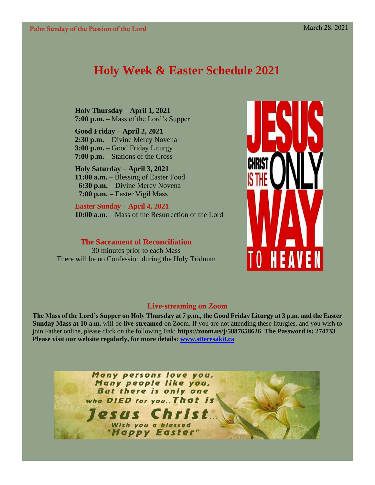# **Holy Week & Easter Schedule 2021**

**Holy Thursday** – **April 1, 2021 7:00 p.m.** – Mass of the Lord's Supper

**Good Friday** – **April 2, 2021 2:30 p.m.** – Divine Mercy Novena **3:00 p.m.** – Good Friday Liturgy **7:00 p.m.** – Stations of the Cross

# **Holy Saturday** – **April 3, 2021**

**11:00 a.m.** – Blessing of Easter Food  **6:30 p.m.** – Divine Mercy Novena  **7:00 p.m.** – Easter Vigil Mass

**Easter Sunday** – **April 4, 2021 10:00 a.m.** – Mass of the Resurrection of the Lord

**The Sacrament of Reconciliation**

30 minutes prior to each Mass There will be no Confession during the Holy Triduum



### Live-streaming on Zoom

**The Mass of the Lord's Supper on Holy Thursday at 7 p.m., the Good Friday Liturgy at 3 p.m. and the Easter Sunday Mass at 10 a.m.** will be **live-streamed** on Zoom. If you are not attending these liturgies, and you wish to join Father online, please click on the following link: **<https://zoom.us/j/5887658626>The Password is: 274733 Please visit our website regularly, for more details: [www.stteresakit.ca](http://www.stteresakit.ca/)**

> Many persons love you, Many people like you, But there is only one who DIED for you.. That is esus Cl Wish you a blessed "Happy Easter"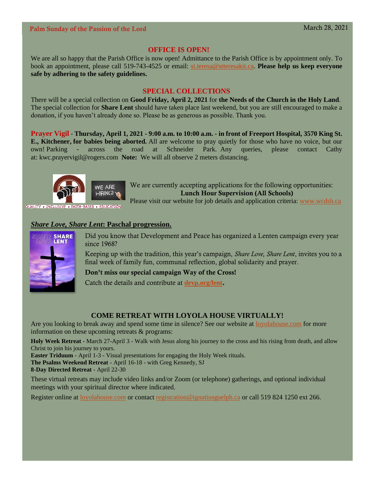### Palm Sunday of the Passion of the Lord March 28, 2021

### **OFFICE IS OPEN!**

We are all so happy that the Parish Office is now open! Admittance to the Parish Office is by appointment only. To book an appointment, please call 519-743-4525 or email: [st.teresa@stteresakit.ca.](mailto:st.teresa@stteresakit.ca) **Please help us keep everyone safe by adhering to the safety guidelines.**

### **SPECIAL COLLECTIONS**

There will be a special collection on **Good Friday, April 2, 2021** for **the Needs of the Church in the Holy Land**. The special collection for **Share Lent** should have taken place last weekend, but you are still encouraged to make a donation, if you haven't already done so. Please be as generous as possible. Thank you.

**Prayer Vigil** - **Thursday, April 1, 2021 - 9:00 a.m. to 10:00 a.m. - in front of Freeport Hospital, 3570 King St. E., Kitchener, for babies being aborted.** All are welcome to pray quietly for those who have no voice, but our own! Parking - across the road at Schneider Park. Any queries, please contact Cathy at: [kwc.prayervigil@rogers.com](mailto:kwc.prayervigil@rogers.com) **Note:** We will all observe 2 meters distancing.



WE ARE We are currently accepting applications for the following opportunities: Lunch Hour Supervision (All Schools)

Please visit our website for job details and application criteria: [www.wcdsb.ca](http://www.wcdsb.ca/)

### *Share Love, Share Lent***: Paschal progression.**



Did you know that Development and Peace has organized a Lenten campaign every year since 1968?

Keeping up with the tradition, this year's campaign, *Share Love, Share Lent*, invites you to a final week of family fun, communal reflection, global solidarity and prayer.

Don't miss our special campaign Way of the Cross!

Catch the details and contribute at **[devp.org/lent](https://devp.org/lent)**.

### **COME RETREAT WITH LOYOLA HOUSE VIRTUALLY!**

Are you looking to break away and spend some time in silence? See our website at [loyolahouse.com](http://r20.rs6.net/tn.jsp?f=001XjHRUN8QKIUuk6A42tRpg3vYlm25-GEPtIzSnHPpPFIhdhIa9xXy_JbBptDqETJqmZTFvG51P-htyZZW56Yl_TGCZt-s5AjHwtkXF1taQfmK9V9XyZTbEVfOeWw_LB1Hl7O0HI2ZQURR-6jd4izTJ2sdVG1pzdfg3z7PAmxRWZb3lLQykD5xbk4jYs_rIwTL&c=6sJAHPRK9D-CdbbnIFQM5_zN8zSubQs34O8H2xjZDmO_K7G6_6PXvg==&ch=qflE_6FbBButH-iHXeL-RZLdg8brTNWvbl66F1QwD1Rt1900hHDTVA==) for more information on these upcoming retreats & programs:

**Holy Week Retreat** - March 27-April 3 - Walk with Jesus along his journey to the cross and his rising from death, and allow Christ to join his journey to yours.

**Easter Triduum** - April 1-3 - Visual presentations for engaging the Holy Week rituals.

**The Psalms Weekend Retreat** - April 16-18 - with Greg Kennedy, SJ

**8-Day Directed Retreat** - April 22-30

These virtual retreats may include video links and/or Zoom (or telephone) gatherings, and optional individual meetings with your spiritual director where indicated.

Register online a[t loyolahouse.com](http://r20.rs6.net/tn.jsp?f=001XjHRUN8QKIUuk6A42tRpg3vYlm25-GEPtIzSnHPpPFIhdhIa9xXy_JbBptDqETJqmZTFvG51P-htyZZW56Yl_TGCZt-s5AjHwtkXF1taQfmK9V9XyZTbEVfOeWw_LB1Hl7O0HI2ZQURR-6jd4izTJ2sdVG1pzdfg3z7PAmxRWZb3lLQykD5xbk4jYs_rIwTL&c=6sJAHPRK9D-CdbbnIFQM5_zN8zSubQs34O8H2xjZDmO_K7G6_6PXvg==&ch=qflE_6FbBButH-iHXeL-RZLdg8brTNWvbl66F1QwD1Rt1900hHDTVA==) or contact [registration@ignatiusguelph.ca](mailto:registration@ignatiusguelph.ca) or call 519 824 1250 ext 266.